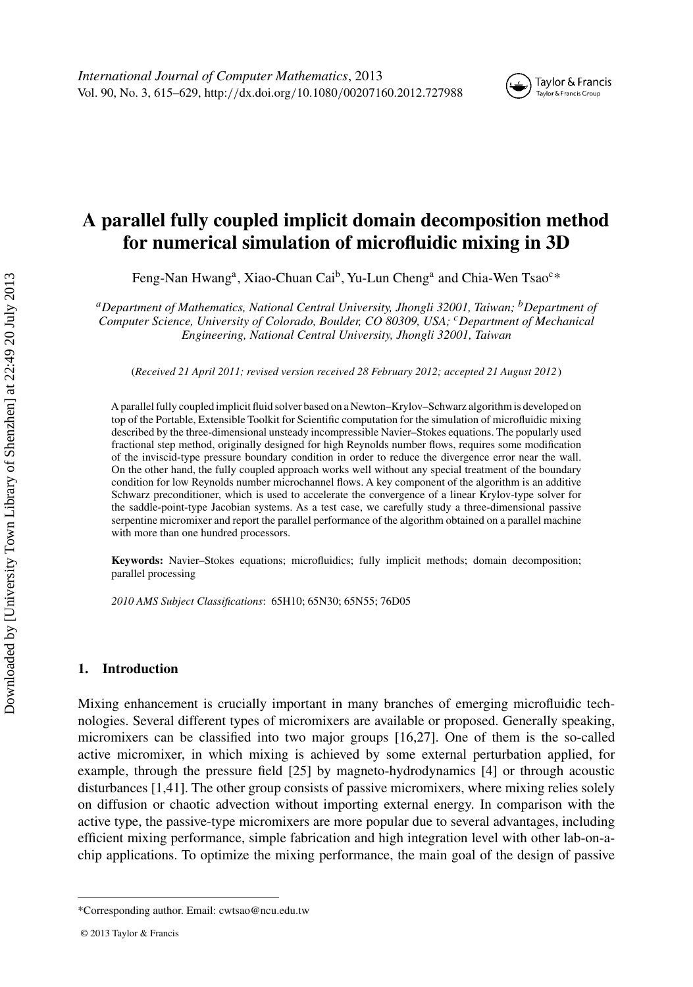# **A parallel fully coupled implicit domain decomposition method for numerical simulation of microfluidic mixing in 3D**

Feng-Nan Hwang<sup>a</sup>, Xiao-Chuan Cai<sup>b</sup>, Yu-Lun Cheng<sup>a</sup> and Chia-Wen Tsao<sup>c\*</sup>

*aDepartment of Mathematics, National Central University, Jhongli 32001, Taiwan; bDepartment of Computer Science, University of Colorado, Boulder, CO 80309, USA; cDepartment of Mechanical Engineering, National Central University, Jhongli 32001, Taiwan*

(*Received 21 April 2011; revised version received 28 February 2012; accepted 21 August 2012*)

A parallel fully coupled implicit fluid solver based on a Newton–Krylov–Schwarz algorithm is developed on top of the Portable, Extensible Toolkit for Scientific computation for the simulation of microfluidic mixing described by the three-dimensional unsteady incompressible Navier–Stokes equations. The popularly used fractional step method, originally designed for high Reynolds number flows, requires some modification of the inviscid-type pressure boundary condition in order to reduce the divergence error near the wall. On the other hand, the fully coupled approach works well without any special treatment of the boundary condition for low Reynolds number microchannel flows. A key component of the algorithm is an additive Schwarz preconditioner, which is used to accelerate the convergence of a linear Krylov-type solver for the saddle-point-type Jacobian systems. As a test case, we carefully study a three-dimensional passive serpentine micromixer and report the parallel performance of the algorithm obtained on a parallel machine with more than one hundred processors.

**Keywords:** Navier–Stokes equations; microfluidics; fully implicit methods; domain decomposition; parallel processing

*2010 AMS Subject Classifications*: 65H10; 65N30; 65N55; 76D05

## **1. Introduction**

Mixing enhancement is crucially important in many branches of emerging microfluidic technologies. Several different types of micromixers are available or proposed. Generally speaking, micromixers can be classified into two major groups [\[16,27\]](#page-13-0). One of them is the so-called active micromixer, in which mixing is achieved by some external perturbation applied, for example, through the pressure field [\[25\]](#page-13-0) by magneto-hydrodynamics [\[4](#page-13-0)] or through acoustic disturbances [\[1](#page-13-0)[,41](#page-14-0)]. The other group consists of passive micromixers, where mixing relies solely on diffusion or chaotic advection without importing external energy. In comparison with the active type, the passive-type micromixers are more popular due to several advantages, including efficient mixing performance, simple fabrication and high integration level with other lab-on-achip applications. To optimize the mixing performance, the main goal of the design of passive

<sup>\*</sup>Corresponding author. Email: cwtsao@ncu.edu.tw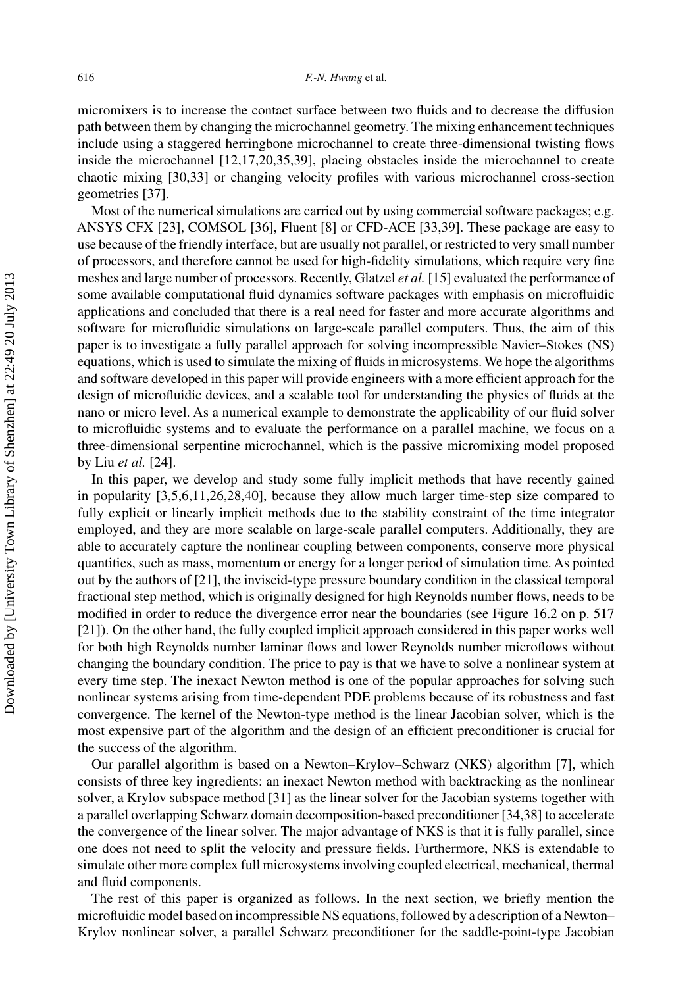micromixers is to increase the contact surface between two fluids and to decrease the diffusion path between them by changing the microchannel geometry. The mixing enhancement techniques include using a staggered herringbone microchannel to create three-dimensional twisting flows inside the microchannel [\[12,17,20](#page-13-0)[,35,39](#page-14-0)], placing obstacles inside the microchannel to create chaotic mixing [\[30](#page-13-0)[,33](#page-14-0)] or changing velocity profiles with various microchannel cross-section geometries [\[37\]](#page-14-0).

Most of the numerical simulations are carried out by using commercial software packages; e.g. ANSYS CFX [\[23\]](#page-13-0), COMSOL [\[36\]](#page-14-0), Fluent [\[8\]](#page-13-0) or CFD-ACE [\[33,39](#page-14-0)]. These package are easy to use because of the friendly interface, but are usually not parallel, or restricted to very small number of processors, and therefore cannot be used for high-fidelity simulations, which require very fine meshes and large number of processors. Recently, Glatzel *et al.* [\[15](#page-13-0)] evaluated the performance of some available computational fluid dynamics software packages with emphasis on microfluidic applications and concluded that there is a real need for faster and more accurate algorithms and software for microfluidic simulations on large-scale parallel computers. Thus, the aim of this paper is to investigate a fully parallel approach for solving incompressible Navier–Stokes (NS) equations, which is used to simulate the mixing of fluids in microsystems. We hope the algorithms and software developed in this paper will provide engineers with a more efficient approach for the design of microfluidic devices, and a scalable tool for understanding the physics of fluids at the nano or micro level. As a numerical example to demonstrate the applicability of our fluid solver to microfluidic systems and to evaluate the performance on a parallel machine, we focus on a three-dimensional serpentine microchannel, which is the passive micromixing model proposed by Liu *et al.* [\[24\]](#page-13-0).

In this paper, we develop and study some fully implicit methods that have recently gained in popularity [\[3,5,6,11,26,28](#page-13-0)[,40](#page-14-0)], because they allow much larger time-step size compared to fully explicit or linearly implicit methods due to the stability constraint of the time integrator employed, and they are more scalable on large-scale parallel computers. Additionally, they are able to accurately capture the nonlinear coupling between components, conserve more physical quantities, such as mass, momentum or energy for a longer period of simulation time. As pointed out by the authors of [\[21\]](#page-13-0), the inviscid-type pressure boundary condition in the classical temporal fractional step method, which is originally designed for high Reynolds number flows, needs to be modified in order to reduce the divergence error near the boundaries (see Figure 16.2 on p. 517 [\[21\]](#page-13-0)). On the other hand, the fully coupled implicit approach considered in this paper works well for both high Reynolds number laminar flows and lower Reynolds number microflows without changing the boundary condition. The price to pay is that we have to solve a nonlinear system at every time step. The inexact Newton method is one of the popular approaches for solving such nonlinear systems arising from time-dependent PDE problems because of its robustness and fast convergence. The kernel of the Newton-type method is the linear Jacobian solver, which is the most expensive part of the algorithm and the design of an efficient preconditioner is crucial for the success of the algorithm.

Our parallel algorithm is based on a Newton–Krylov–Schwarz (NKS) algorithm [\[7](#page-13-0)], which consists of three key ingredients: an inexact Newton method with backtracking as the nonlinear solver, a Krylov subspace method [\[31](#page-13-0)] as the linear solver for the Jacobian systems together with a parallel overlapping Schwarz domain decomposition-based preconditioner [\[34,38](#page-14-0)] to accelerate the convergence of the linear solver. The major advantage of NKS is that it is fully parallel, since one does not need to split the velocity and pressure fields. Furthermore, NKS is extendable to simulate other more complex full microsystems involving coupled electrical, mechanical, thermal and fluid components.

The rest of this paper is organized as follows. In the next section, we briefly mention the microfluidic model based on incompressible NS equations, followed by a description of a Newton– Krylov nonlinear solver, a parallel Schwarz preconditioner for the saddle-point-type Jacobian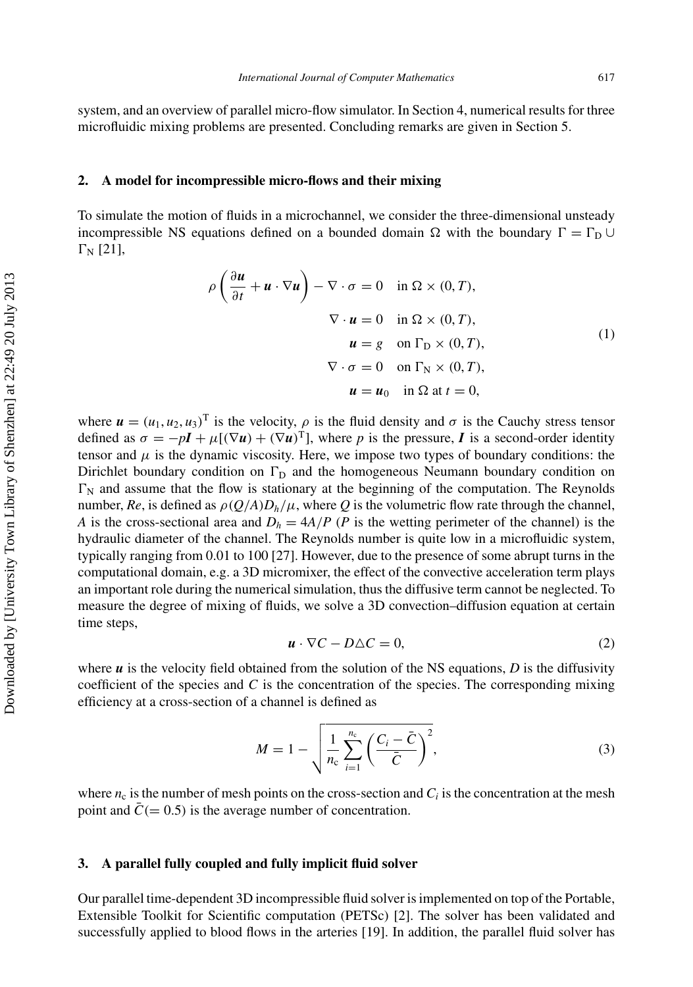<span id="page-2-0"></span>system, and an overview of parallel micro-flow simulator. In Section 4, numerical results for three microfluidic mixing problems are presented. Concluding remarks are given in Section 5.

#### **2. A model for incompressible micro-flows and their mixing**

To simulate the motion of fluids in a microchannel, we consider the three-dimensional unsteady incompressible NS equations defined on a bounded domain  $\Omega$  with the boundary  $\Gamma = \Gamma_{\text{D}} \cup$  $\Gamma_{\rm N}$  [\[21](#page-13-0)],

$$
\rho \left( \frac{\partial u}{\partial t} + u \cdot \nabla u \right) - \nabla \cdot \sigma = 0 \quad \text{in } \Omega \times (0, T),
$$
  

$$
\nabla \cdot u = 0 \quad \text{in } \Omega \times (0, T),
$$
  

$$
u = g \quad \text{on } \Gamma_{\text{D}} \times (0, T),
$$
  

$$
\nabla \cdot \sigma = 0 \quad \text{on } \Gamma_{\text{N}} \times (0, T),
$$
  

$$
u = u_0 \quad \text{in } \Omega \text{ at } t = 0,
$$
 (1)

where  $u = (u_1, u_2, u_3)^\text{T}$  is the velocity,  $\rho$  is the fluid density and  $\sigma$  is the Cauchy stress tensor defined as  $\sigma = -pI + \mu[(\nabla u) + (\nabla u)^T]$ , where *p* is the pressure, *I* is a second-order identity tensor and  $\mu$  is the dynamic viscosity. Here, we impose two types of boundary conditions: the Dirichlet boundary condition on  $\Gamma_D$  and the homogeneous Neumann boundary condition on  $\Gamma_N$  and assume that the flow is stationary at the beginning of the computation. The Reynolds number,  $Re$ , is defined as  $\rho(Q/A)D_h/\mu$ , where Q is the volumetric flow rate through the channel, *A* is the cross-sectional area and  $D_h = 4A/P$  (*P* is the wetting perimeter of the channel) is the hydraulic diameter of the channel. The Reynolds number is quite low in a microfluidic system, typically ranging from 0.01 to 100 [\[27\]](#page-13-0). However, due to the presence of some abrupt turns in the computational domain, e.g. a 3D micromixer, the effect of the convective acceleration term plays an important role during the numerical simulation, thus the diffusive term cannot be neglected. To measure the degree of mixing of fluids, we solve a 3D convection–diffusion equation at certain time steps,

$$
\mathbf{u} \cdot \nabla C - D\Delta C = 0,\tag{2}
$$

where  $\boldsymbol{u}$  is the velocity field obtained from the solution of the NS equations,  $D$  is the diffusivity coefficient of the species and *C* is the concentration of the species. The corresponding mixing efficiency at a cross-section of a channel is defined as

$$
M = 1 - \sqrt{\frac{1}{n_{\rm c}} \sum_{i=1}^{n_{\rm c}} \left(\frac{C_i - \bar{C}}{\bar{C}}\right)^2},\tag{3}
$$

where  $n_c$  is the number of mesh points on the cross-section and  $C_i$  is the concentration at the mesh point and  $\bar{C}$  (= 0.5) is the average number of concentration.

### **3. A parallel fully coupled and fully implicit fluid solver**

Our parallel time-dependent 3D incompressible fluid solver is implemented on top of the Portable, Extensible Toolkit for Scientific computation (PETSc) [\[2\]](#page-13-0). The solver has been validated and successfully applied to blood flows in the arteries [\[19\]](#page-13-0). In addition, the parallel fluid solver has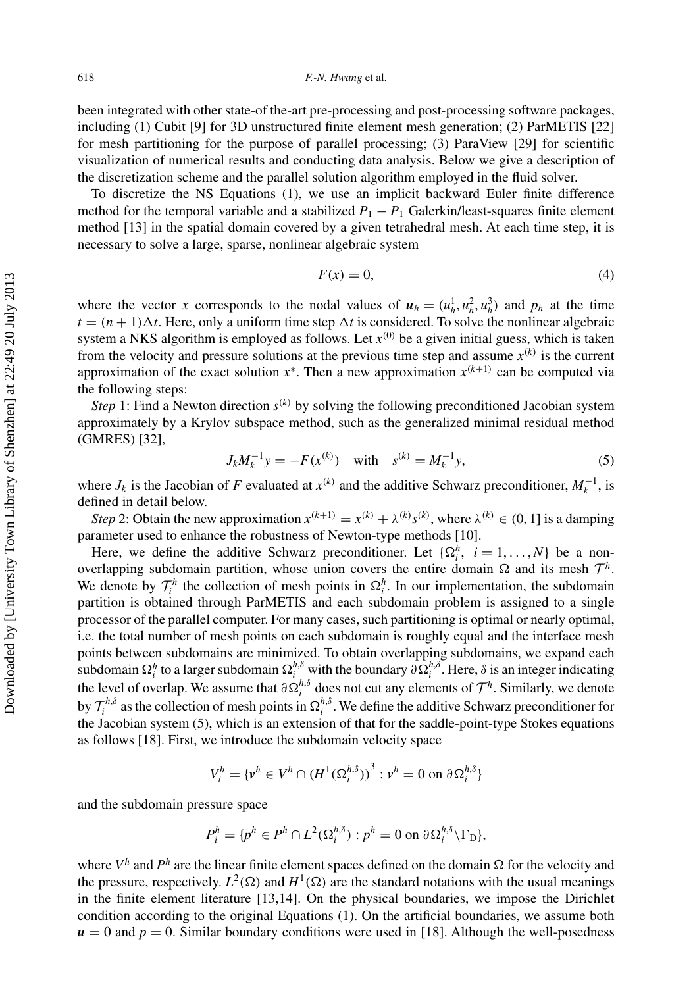<span id="page-3-0"></span>been integrated with other state-of the-art pre-processing and post-processing software packages, including (1) Cubit [\[9](#page-13-0)] for 3D unstructured finite element mesh generation; (2) ParMETIS [\[22\]](#page-13-0) for mesh partitioning for the purpose of parallel processing; (3) ParaView [\[29](#page-13-0)] for scientific visualization of numerical results and conducting data analysis. Below we give a description of the discretization scheme and the parallel solution algorithm employed in the fluid solver.

To discretize the NS Equations [\(1\)](#page-2-0), we use an implicit backward Euler finite difference method for the temporal variable and a stabilized  $P_1 - P_1$  Galerkin/least-squares finite element method [\[13](#page-13-0)] in the spatial domain covered by a given tetrahedral mesh. At each time step, it is necessary to solve a large, sparse, nonlinear algebraic system

$$
F(x) = 0,\t\t(4)
$$

where the vector *x* corresponds to the nodal values of  $u_h = (u_h^1, u_h^2, u_h^3)$  and  $p_h$  at the time  $t = (n + 1)\Delta t$ . Here, only a uniform time step  $\Delta t$  is considered. To solve the nonlinear algebraic system a NKS algorithm is employed as follows. Let  $x^{(0)}$  be a given initial guess, which is taken from the velocity and pressure solutions at the previous time step and assume  $x^{(k)}$  is the current approximation of the exact solution  $x^*$ . Then a new approximation  $x^{(k+1)}$  can be computed via the following steps:

*Step* 1: Find a Newton direction  $s^{(k)}$  by solving the following preconditioned Jacobian system approximately by a Krylov subspace method, such as the generalized minimal residual method (GMRES) [\[32](#page-13-0)],

$$
J_k M_k^{-1} y = -F(x^{(k)}) \quad \text{with} \quad s^{(k)} = M_k^{-1} y,\tag{5}
$$

where  $J_k$  is the Jacobian of *F* evaluated at  $x^{(k)}$  and the additive Schwarz preconditioner,  $M_k^{-1}$ , is defined in detail below.

Step 2: Obtain the new approximation  $x^{(k+1)} = x^{(k)} + \lambda^{(k)} s^{(k)}$ , where  $\lambda^{(k)} \in (0, 1]$  is a damping parameter used to enhance the robustness of Newton-type methods [\[10](#page-13-0)].

Here, we define the additive Schwarz preconditioner. Let  $\{\Omega_i^h, i = 1, ..., N\}$  be a nonoverlapping subdomain partition, whose union covers the entire domain  $\Omega$  and its mesh  $\mathcal{T}^h$ . We denote by  $\mathcal{T}_i^h$  the collection of mesh points in  $\Omega_i^h$ . In our implementation, the subdomain partition is obtained through ParMETIS and each subdomain problem is assigned to a single processor of the parallel computer. For many cases, such partitioning is optimal or nearly optimal, i.e. the total number of mesh points on each subdomain is roughly equal and the interface mesh points between subdomains are minimized. To obtain overlapping subdomains, we expand each  $\int_{i}^{h}$  to a larger subdomain  $\Omega_i^{h,\delta}$  with the boundary  $\partial \Omega_i^{h,\delta}$ . Here,  $\delta$  is an integer indicating the level of overlap. We assume that  $\partial \Omega_i^{h,\delta}$  does not cut any elements of  $\mathcal{T}^h$ . Similarly, we denote by  $\mathcal{T}_i^{h,\delta}$  as the collection of mesh points in  $\Omega_i^{h,\delta}$ . We define the additive Schwarz preconditioner for the Jacobian system (5), which is an extension of that for the saddle-point-type Stokes equations as follows [\[18](#page-13-0)]. First, we introduce the subdomain velocity space

$$
V_i^h = \{v^h \in V^h \cap (H^1(\Omega_i^{h,\delta}))^3 : v^h = 0 \text{ on } \partial \Omega_i^{h,\delta}\}\
$$

and the subdomain pressure space

$$
P_i^h = \{ p^h \in P^h \cap L^2(\Omega_i^{h,\delta}) : p^h = 0 \text{ on } \partial \Omega_i^{h,\delta} \setminus \Gamma_{\text{D}} \},
$$

where  $V^h$  and  $P^h$  are the linear finite element spaces defined on the domain  $\Omega$  for the velocity and the pressure, respectively.  $L^2(\Omega)$  and  $H^1(\Omega)$  are the standard notations with the usual meanings in the finite element literature [\[13,14\]](#page-13-0). On the physical boundaries, we impose the Dirichlet condition according to the original Equations [\(1\)](#page-2-0). On the artificial boundaries, we assume both  $u = 0$  and  $p = 0$ . Similar boundary conditions were used in [\[18](#page-13-0)]. Although the well-posedness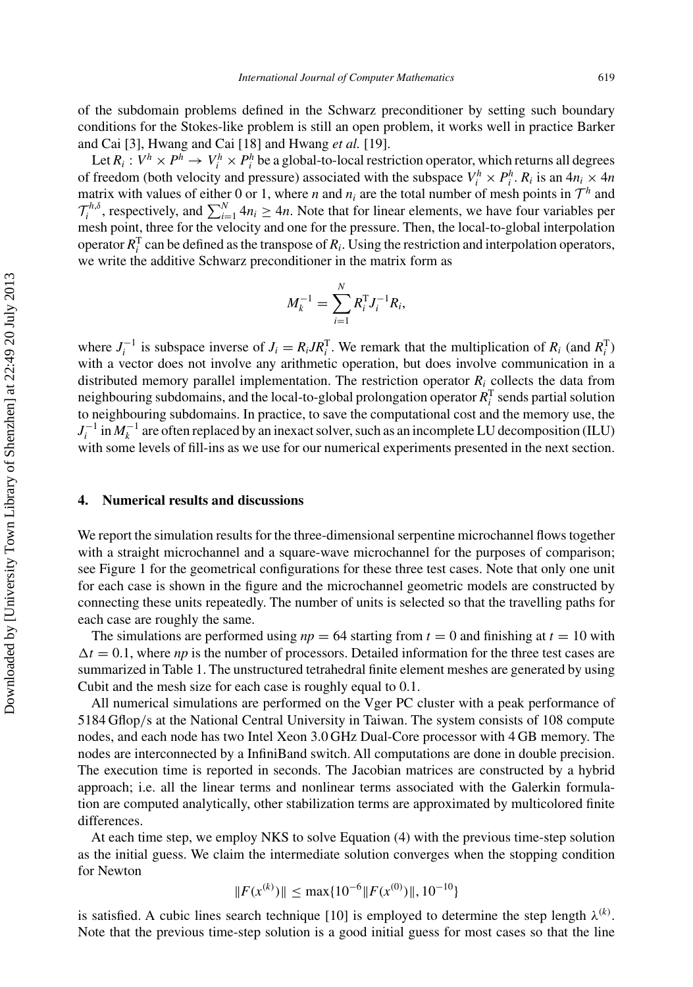of the subdomain problems defined in the Schwarz preconditioner by setting such boundary conditions for the Stokes-like problem is still an open problem, it works well in practice Barker and Cai [\[3](#page-13-0)], Hwang and Cai [\[18](#page-13-0)] and Hwang *et al.* [\[19\]](#page-13-0).

Let  $R_i: V^h \times P^h \to V_i^h \times P_i^h$  be a global-to-local restriction operator, which returns all degrees of freedom (both velocity and pressure) associated with the subspace  $V_i^h \times P_i^h$ .  $R_i$  is an  $4n_i \times 4n$ matrix with values of either 0 or 1, where *n* and  $n_i$  are the total number of mesh points in  $\mathcal{T}^h$  and  $\mathcal{T}_i^{h,\delta}$ , respectively, and  $\sum_{i=1}^N 4n_i \geq 4n$ . Note that for linear elements, we have four variables per mesh point, three for the velocity and one for the pressure. Then, the local-to-global interpolation operator  $R_i^T$  can be defined as the transpose of  $R_i$ . Using the restriction and interpolation operators, we write the additive Schwarz preconditioner in the matrix form as

$$
M_k^{-1} = \sum_{i=1}^N R_i^{\mathrm{T}} J_i^{-1} R_i,
$$

where  $J_i^{-1}$  is subspace inverse of  $J_i = R_i J R_i^T$ . We remark that the multiplication of  $R_i$  (and  $R_i^T$ ) with a vector does not involve any arithmetic operation, but does involve communication in a distributed memory parallel implementation. The restriction operator  $R_i$  collects the data from neighbouring subdomains, and the local-to-global prolongation operator  $R_i^T$  sends partial solution to neighbouring subdomains. In practice, to save the computational cost and the memory use, the  $J_i^{-1}$  in  $M_k^{-1}$  are often replaced by an inexact solver, such as an incomplete LU decomposition (ILU) with some levels of fill-ins as we use for our numerical experiments presented in the next section.

## **4. Numerical results and discussions**

We report the simulation results for the three-dimensional serpentine microchannel flows together with a straight microchannel and a square-wave microchannel for the purposes of comparison; see Figure [1](#page-5-0) for the geometrical configurations for these three test cases. Note that only one unit for each case is shown in the figure and the microchannel geometric models are constructed by connecting these units repeatedly. The number of units is selected so that the travelling paths for each case are roughly the same.

The simulations are performed using  $np = 64$  starting from  $t = 0$  and finishing at  $t = 10$  with  $\Delta t = 0.1$ , where *np* is the number of processors. Detailed information for the three test cases are summarized in Table [1.](#page-5-0) The unstructured tetrahedral finite element meshes are generated by using Cubit and the mesh size for each case is roughly equal to 0.1.

All numerical simulations are performed on the Vger PC cluster with a peak performance of 5184 Gflop*/*s at the National Central University in Taiwan. The system consists of 108 compute nodes, and each node has two Intel Xeon 3.0 GHz Dual-Core processor with 4 GB memory. The nodes are interconnected by a InfiniBand switch. All computations are done in double precision. The execution time is reported in seconds. The Jacobian matrices are constructed by a hybrid approach; i.e. all the linear terms and nonlinear terms associated with the Galerkin formulation are computed analytically, other stabilization terms are approximated by multicolored finite differences.

At each time step, we employ NKS to solve Equation [\(4\)](#page-3-0) with the previous time-step solution as the initial guess. We claim the intermediate solution converges when the stopping condition for Newton

$$
||F(x^{(k)})|| \le \max\{10^{-6}||F(x^{(0)})||, 10^{-10}\}
$$

is satisfied. A cubic lines search technique [\[10\]](#page-13-0) is employed to determine the step length  $\lambda^{(k)}$ . Note that the previous time-step solution is a good initial guess for most cases so that the line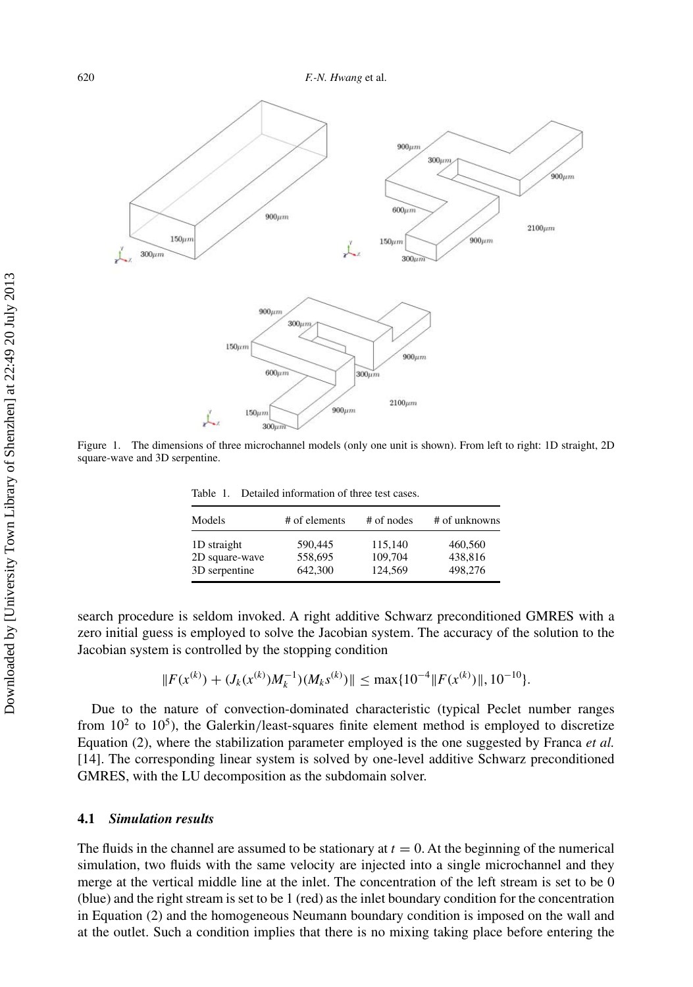<span id="page-5-0"></span>

Figure 1. The dimensions of three microchannel models (only one unit is shown). From left to right: 1D straight, 2D square-wave and 3D serpentine.

Table 1. Detailed information of three test cases.

| Models                        | # of elements      | # of nodes         | # of unknowns      |
|-------------------------------|--------------------|--------------------|--------------------|
| 1D straight<br>2D square-wave | 590,445<br>558,695 | 115,140<br>109.704 | 460,560<br>438,816 |
| 3D serpentine                 | 642,300            | 124,569            | 498,276            |

search procedure is seldom invoked. A right additive Schwarz preconditioned GMRES with a zero initial guess is employed to solve the Jacobian system. The accuracy of the solution to the Jacobian system is controlled by the stopping condition

$$
||F(x^{(k)}) + (J_k(x^{(k)})M_k^{-1})(M_ks^{(k)})|| \le \max\{10^{-4}||F(x^{(k)})||, 10^{-10}\}.
$$

Due to the nature of convection-dominated characteristic (typical Peclet number ranges from  $10^2$  to  $10^5$ ), the Galerkin/least-squares finite element method is employed to discretize Equation [\(2\)](#page-2-0), where the stabilization parameter employed is the one suggested by Franca *et al.* [\[14\]](#page-13-0). The corresponding linear system is solved by one-level additive Schwarz preconditioned GMRES, with the LU decomposition as the subdomain solver.

## **4.1** *Simulation results*

The fluids in the channel are assumed to be stationary at  $t = 0$ . At the beginning of the numerical simulation, two fluids with the same velocity are injected into a single microchannel and they merge at the vertical middle line at the inlet. The concentration of the left stream is set to be 0 (blue) and the right stream is set to be 1 (red) as the inlet boundary condition for the concentration in Equation [\(2\)](#page-2-0) and the homogeneous Neumann boundary condition is imposed on the wall and at the outlet. Such a condition implies that there is no mixing taking place before entering the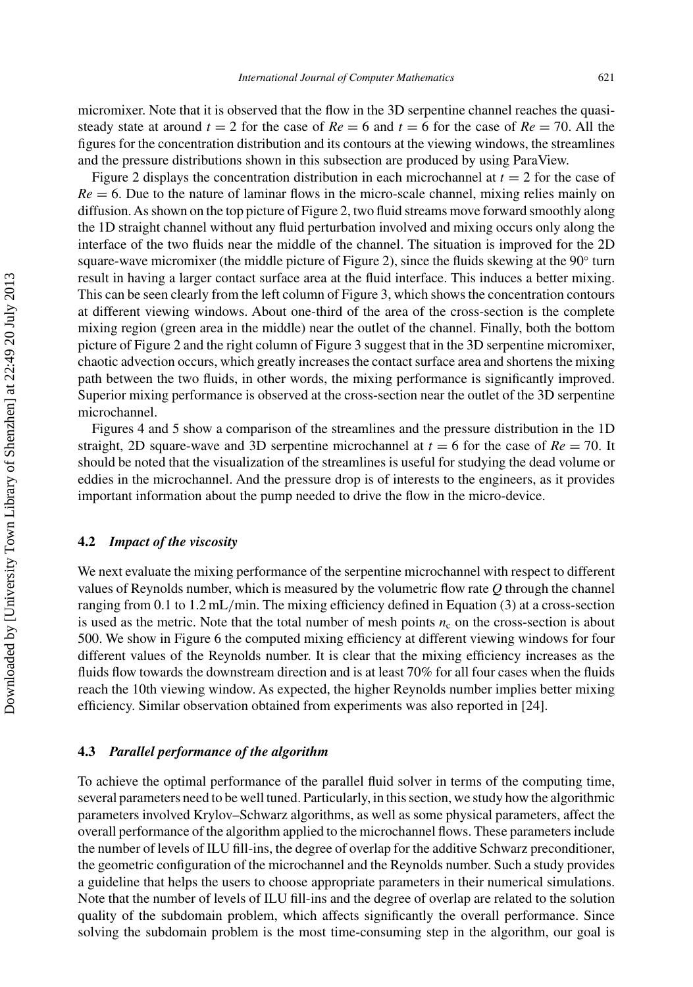micromixer. Note that it is observed that the flow in the 3D serpentine channel reaches the quasisteady state at around  $t = 2$  for the case of  $Re = 6$  and  $t = 6$  for the case of  $Re = 70$ . All the figures for the concentration distribution and its contours at the viewing windows, the streamlines and the pressure distributions shown in this subsection are produced by using ParaView.

Figure [2](#page-7-0) displays the concentration distribution in each microchannel at  $t = 2$  for the case of  $Re = 6$ . Due to the nature of laminar flows in the micro-scale channel, mixing relies mainly on diffusion.As shown on the top picture of Figure [2,](#page-7-0) two fluid streams move forward smoothly along the 1D straight channel without any fluid perturbation involved and mixing occurs only along the interface of the two fluids near the middle of the channel. The situation is improved for the 2D square-wave micromixer (the middle picture of Figure [2\)](#page-7-0), since the fluids skewing at the  $90°$  turn result in having a larger contact surface area at the fluid interface. This induces a better mixing. This can be seen clearly from the left column of Figure [3,](#page-8-0) which shows the concentration contours at different viewing windows. About one-third of the area of the cross-section is the complete mixing region (green area in the middle) near the outlet of the channel. Finally, both the bottom picture of Figure [2](#page-7-0) and the right column of Figure [3](#page-8-0) suggest that in the 3D serpentine micromixer, chaotic advection occurs, which greatly increases the contact surface area and shortens the mixing path between the two fluids, in other words, the mixing performance is significantly improved. Superior mixing performance is observed at the cross-section near the outlet of the 3D serpentine microchannel.

Figures [4](#page-9-0) and [5](#page-10-0) show a comparison of the streamlines and the pressure distribution in the 1D straight, 2D square-wave and 3D serpentine microchannel at  $t = 6$  for the case of  $Re = 70$ . It should be noted that the visualization of the streamlines is useful for studying the dead volume or eddies in the microchannel. And the pressure drop is of interests to the engineers, as it provides important information about the pump needed to drive the flow in the micro-device.

## **4.2** *Impact of the viscosity*

We next evaluate the mixing performance of the serpentine microchannel with respect to different values of Reynolds number, which is measured by the volumetric flow rate *Q* through the channel ranging from 0.1 to 1.2 mL*/*min. The mixing efficiency defined in Equation [\(3\)](#page-2-0) at a cross-section is used as the metric. Note that the total number of mesh points  $n_c$  on the cross-section is about 500. We show in Figure [6](#page-11-0) the computed mixing efficiency at different viewing windows for four different values of the Reynolds number. It is clear that the mixing efficiency increases as the fluids flow towards the downstream direction and is at least 70% for all four cases when the fluids reach the 10th viewing window. As expected, the higher Reynolds number implies better mixing efficiency. Similar observation obtained from experiments was also reported in [\[24\]](#page-13-0).

#### **4.3** *Parallel performance of the algorithm*

To achieve the optimal performance of the parallel fluid solver in terms of the computing time, several parameters need to be well tuned. Particularly, in this section, we study how the algorithmic parameters involved Krylov–Schwarz algorithms, as well as some physical parameters, affect the overall performance of the algorithm applied to the microchannel flows. These parameters include the number of levels of ILU fill-ins, the degree of overlap for the additive Schwarz preconditioner, the geometric configuration of the microchannel and the Reynolds number. Such a study provides a guideline that helps the users to choose appropriate parameters in their numerical simulations. Note that the number of levels of ILU fill-ins and the degree of overlap are related to the solution quality of the subdomain problem, which affects significantly the overall performance. Since solving the subdomain problem is the most time-consuming step in the algorithm, our goal is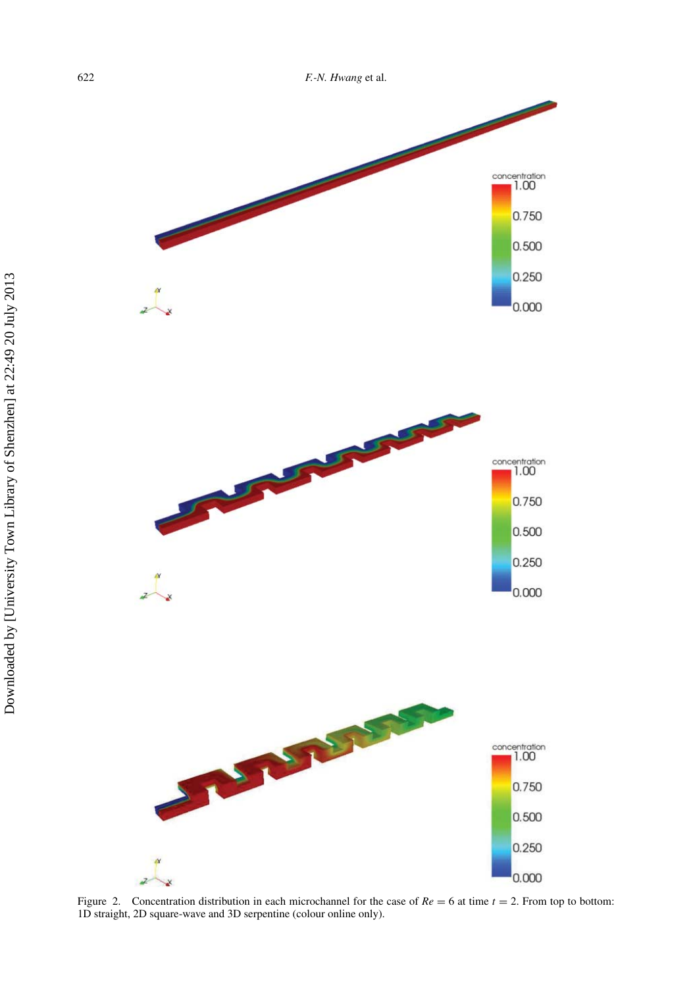<span id="page-7-0"></span>622 *F.-N. Hwang* et al.



Figure 2. Concentration distribution in each microchannel for the case of  $Re = 6$  at time  $t = 2$ . From top to bottom: 1D straight, 2D square-wave and 3D serpentine (colour online only).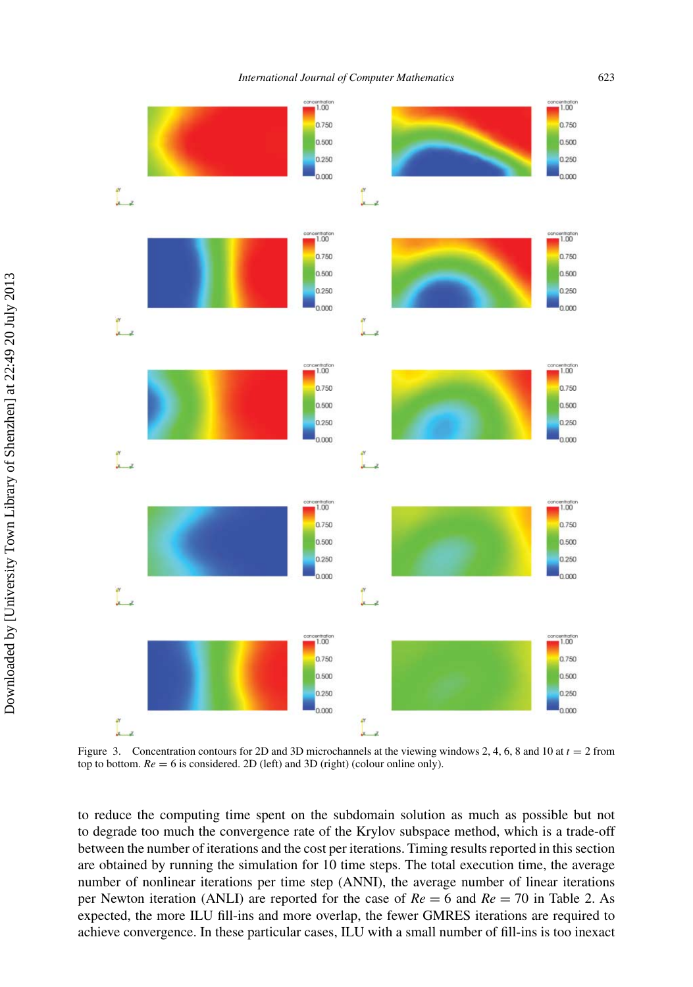<span id="page-8-0"></span>

Figure 3. Concentration contours for 2D and 3D microchannels at the viewing windows 2, 4, 6, 8 and 10 at *t* = 2 from top to bottom.  $Re = 6$  is considered. 2D (left) and 3D (right) (colour online only).

to reduce the computing time spent on the subdomain solution as much as possible but not to degrade too much the convergence rate of the Krylov subspace method, which is a trade-off between the number of iterations and the cost per iterations. Timing results reported in this section are obtained by running the simulation for 10 time steps. The total execution time, the average number of nonlinear iterations per time step (ANNI), the average number of linear iterations per Newton iteration (ANLI) are reported for the case of *Re* = 6 and *Re* = 70 in Table [2.](#page-11-0) As expected, the more ILU fill-ins and more overlap, the fewer GMRES iterations are required to achieve convergence. In these particular cases, ILU with a small number of fill-ins is too inexact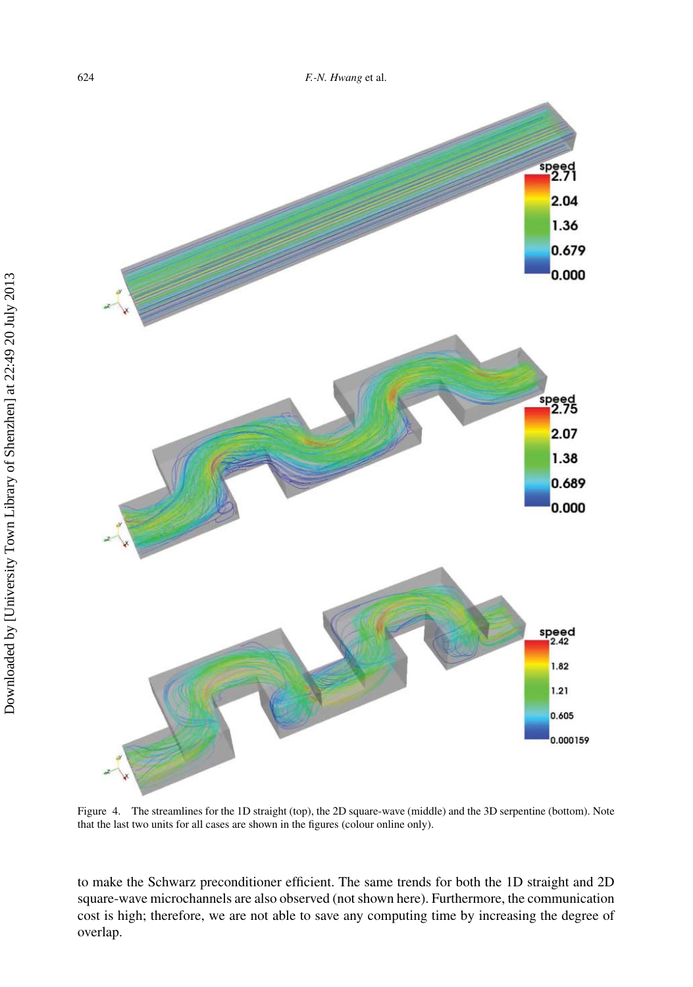<span id="page-9-0"></span>

Figure 4. The streamlines for the 1D straight (top), the 2D square-wave (middle) and the 3D serpentine (bottom). Note that the last two units for all cases are shown in the figures (colour online only).

to make the Schwarz preconditioner efficient. The same trends for both the 1D straight and 2D square-wave microchannels are also observed (not shown here). Furthermore, the communication cost is high; therefore, we are not able to save any computing time by increasing the degree of overlap.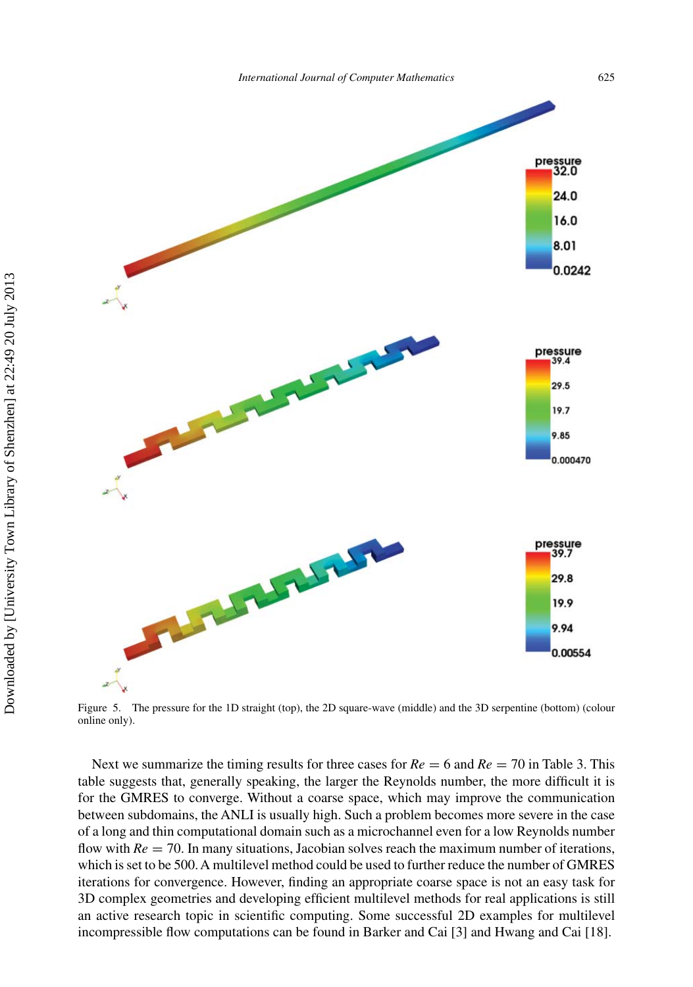<span id="page-10-0"></span>

Figure 5. The pressure for the 1D straight (top), the 2D square-wave (middle) and the 3D serpentine (bottom) (colour online only).

Next we summarize the timing results for three cases for  $Re = 6$  and  $Re = 70$  in Table [3.](#page-11-0) This table suggests that, generally speaking, the larger the Reynolds number, the more difficult it is for the GMRES to converge. Without a coarse space, which may improve the communication between subdomains, the ANLI is usually high. Such a problem becomes more severe in the case of a long and thin computational domain such as a microchannel even for a low Reynolds number flow with  $Re = 70$ . In many situations, Jacobian solves reach the maximum number of iterations, which is set to be 500. A multilevel method could be used to further reduce the number of GMRES iterations for convergence. However, finding an appropriate coarse space is not an easy task for 3D complex geometries and developing efficient multilevel methods for real applications is still an active research topic in scientific computing. Some successful 2D examples for multilevel incompressible flow computations can be found in Barker and Cai [\[3\]](#page-13-0) and Hwang and Cai [\[18](#page-13-0)].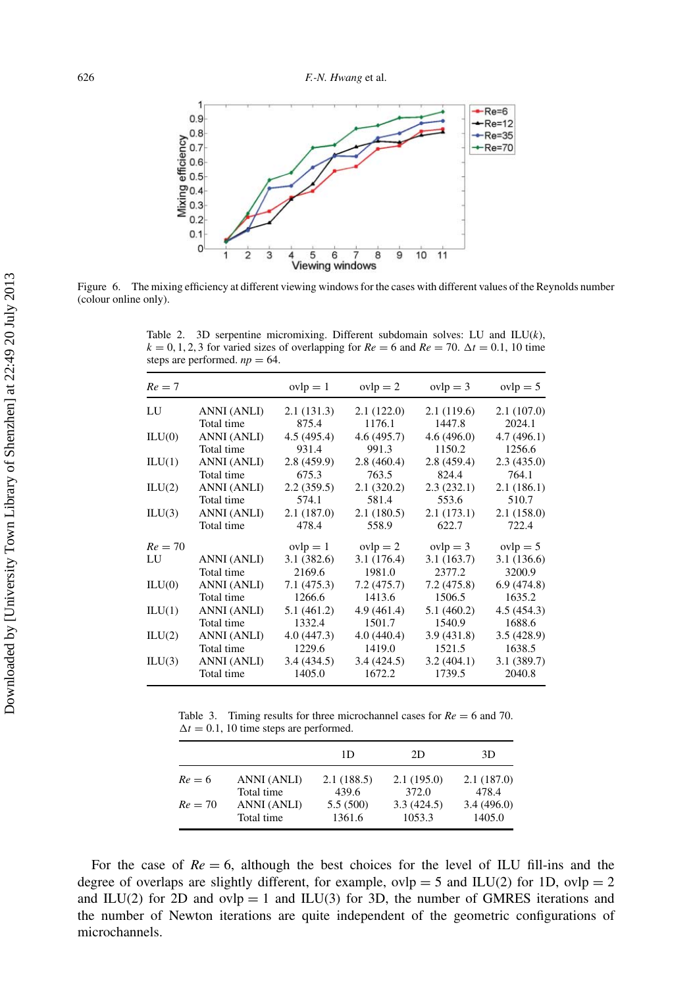<span id="page-11-0"></span>

Figure 6. The mixing efficiency at different viewing windows for the cases with different values of the Reynolds number (colour online only).

Table 2. 3D serpentine micromixing. Different subdomain solves: LU and ILU(*k*),  $k = 0, 1, 2, 3$  for varied sizes of overlapping for  $Re = 6$  and  $Re = 70$ .  $\Delta t = 0.1$ , 10 time steps are performed.  $np = 64$ .

| $Re = 7$  |             | $ovlp = 1$  | $ovlp = 2$ | $ovlp = 3$  | $ovlp = 5$  |
|-----------|-------------|-------------|------------|-------------|-------------|
| LU        | ANNI (ANLI) | 2.1(131.3)  | 2.1(122.0) | 2.1(119.6)  | 2.1(107.0)  |
|           | Total time  | 875.4       | 1176.1     | 1447.8      | 2024.1      |
| ILU(0)    | ANNI (ANLI) | 4.5 (495.4) | 4.6(495.7) | 4.6(496.0)  | 4.7(496.1)  |
|           | Total time  | 931.4       | 991.3      | 1150.2      | 1256.6      |
| ILU(1)    | ANNI (ANLI) | 2.8(459.9)  | 2.8(460.4) | 2.8(459.4)  | 2.3(435.0)  |
|           | Total time  | 675.3       | 763.5      | 824.4       | 764.1       |
| ILU(2)    | ANNI (ANLI) | 2.2(359.5)  | 2.1(320.2) | 2.3(232.1)  | 2.1(186.1)  |
|           | Total time  | 574.1       | 581.4      | 553.6       | 510.7       |
| ILU(3)    | ANNI (ANLI) | 2.1(187.0)  | 2.1(180.5) | 2.1(173.1)  | 2.1(158.0)  |
|           | Total time  | 478.4       | 558.9      | 622.7       | 722.4       |
| $Re = 70$ |             | $ovlp = 1$  | $ovlp = 2$ | $ovlp = 3$  | $ovlp = 5$  |
| LU        | ANNI (ANLI) | 3.1(382.6)  | 3.1(176.4) | 3.1(163.7)  | 3.1(136.6)  |
|           | Total time  | 2169.6      | 1981.0     | 2377.2      | 3200.9      |
| ILU(0)    | ANNI (ANLI) | 7.1 (475.3) | 7.2(475.7) | 7.2(475.8)  | 6.9(474.8)  |
|           | Total time  | 1266.6      | 1413.6     | 1506.5      | 1635.2      |
| ILU(1)    | ANNI (ANLI) | 5.1 (461.2) | 4.9(461.4) | 5.1 (460.2) | 4.5 (454.3) |
|           | Total time  | 1332.4      | 1501.7     | 1540.9      | 1688.6      |
| ILU(2)    | ANNI (ANLI) | 4.0(447.3)  | 4.0(440.4) | 3.9(431.8)  | 3.5(428.9)  |
|           | Total time  | 1229.6      | 1419.0     | 1521.5      | 1638.5      |
| ILU(3)    | ANNI (ANLI) | 3.4(434.5)  | 3.4(424.5) | 3.2(404.1)  | 3.1(389.7)  |
|           | Total time  | 1405.0      | 1672.2     | 1739.5      | 2040.8      |

Table 3. Timing results for three microchannel cases for  $Re = 6$  and 70.  $\Delta t = 0.1$ , 10 time steps are performed.

|           |             | 1D         | 2D         | 3D         |
|-----------|-------------|------------|------------|------------|
| $Re = 6$  | ANNI (ANLI) | 2.1(188.5) | 2.1(195.0) | 2.1(187.0) |
|           | Total time  | 439.6      | 372.0      | 478.4      |
| $Re = 70$ | ANNI (ANLI) | 5.5(500)   | 3.3(424.5) | 3.4(496.0) |
|           | Total time  | 1361.6     | 1053.3     | 1405.0     |

For the case of  $Re = 6$ , although the best choices for the level of ILU fill-ins and the degree of overlaps are slightly different, for example,  $ovlp = 5$  and  $ILU(2)$  for 1D,  $ovlp = 2$ and ILU(2) for 2D and  $ovlp = 1$  and ILU(3) for 3D, the number of GMRES iterations and the number of Newton iterations are quite independent of the geometric configurations of microchannels.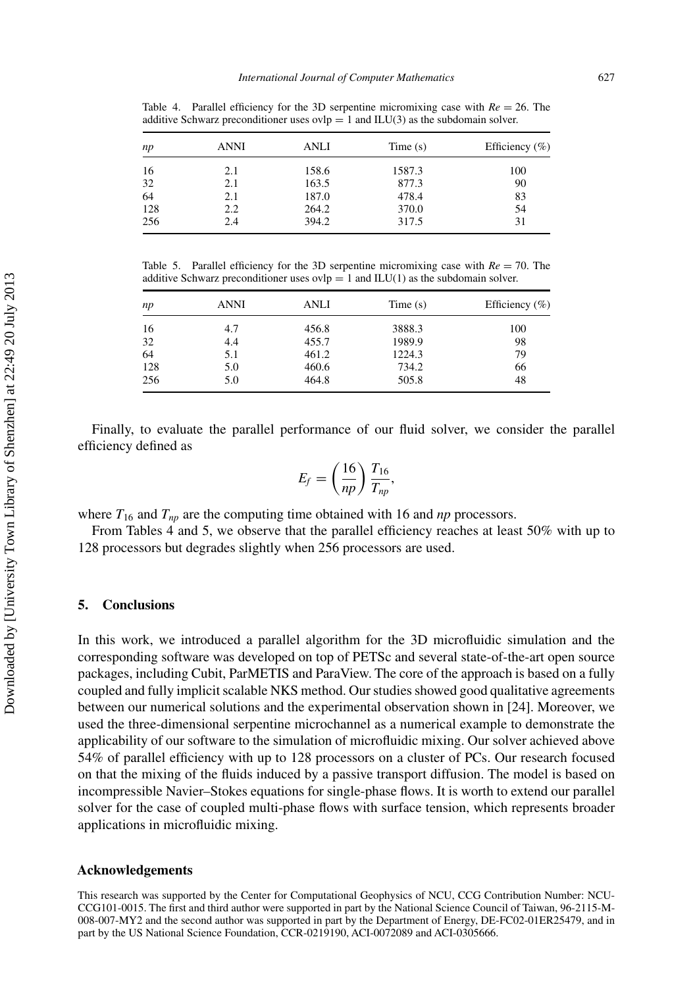| np  | ANNI | ANLI  | Time(s) | Efficiency $(\% )$ |
|-----|------|-------|---------|--------------------|
| 16  | 2.1  | 158.6 | 1587.3  | 100                |
| 32  | 2.1  | 163.5 | 877.3   | 90                 |
| 64  | 2.1  | 187.0 | 478.4   | 83                 |
| 128 | 2.2  | 264.2 | 370.0   | 54                 |
| 256 | 2.4  | 394.2 | 317.5   | 31                 |

Table 4. Parallel efficiency for the 3D serpentine micromixing case with  $Re = 26$ . The additive Schwarz preconditioner uses  $ovlp = 1$  and  $ILU(3)$  as the subdomain solver.

Table 5. Parallel efficiency for the 3D serpentine micromixing case with  $Re = 70$ . The additive Schwarz preconditioner uses  $ovlp = 1$  and  $ILU(1)$  as the subdomain solver.

| np  | ANNI | ANLI  | Time(s) | Efficiency $(\% )$ |
|-----|------|-------|---------|--------------------|
| 16  | 4.7  | 456.8 | 3888.3  | 100                |
| 32  | 4.4  | 455.7 | 1989.9  | 98                 |
| 64  | 5.1  | 461.2 | 1224.3  | 79                 |
| 128 | 5.0  | 460.6 | 734.2   | 66                 |
| 256 | 5.0  | 464.8 | 505.8   | 48                 |

Finally, to evaluate the parallel performance of our fluid solver, we consider the parallel efficiency defined as

$$
E_f = \left(\frac{16}{np}\right) \frac{T_{16}}{T_{np}},
$$

where  $T_{16}$  and  $T_{np}$  are the computing time obtained with 16 and  $np$  processors.

From Tables 4 and 5, we observe that the parallel efficiency reaches at least 50% with up to 128 processors but degrades slightly when 256 processors are used.

# **5. Conclusions**

In this work, we introduced a parallel algorithm for the 3D microfluidic simulation and the corresponding software was developed on top of PETSc and several state-of-the-art open source packages, including Cubit, ParMETIS and ParaView. The core of the approach is based on a fully coupled and fully implicit scalable NKS method. Our studies showed good qualitative agreements between our numerical solutions and the experimental observation shown in [\[24\]](#page-13-0). Moreover, we used the three-dimensional serpentine microchannel as a numerical example to demonstrate the applicability of our software to the simulation of microfluidic mixing. Our solver achieved above 54% of parallel efficiency with up to 128 processors on a cluster of PCs. Our research focused on that the mixing of the fluids induced by a passive transport diffusion. The model is based on incompressible Navier–Stokes equations for single-phase flows. It is worth to extend our parallel solver for the case of coupled multi-phase flows with surface tension, which represents broader applications in microfluidic mixing.

#### **Acknowledgements**

This research was supported by the Center for Computational Geophysics of NCU, CCG Contribution Number: NCU-CCG101-0015. The first and third author were supported in part by the National Science Council of Taiwan, 96-2115-M-008-007-MY2 and the second author was supported in part by the Department of Energy, DE-FC02-01ER25479, and in part by the US National Science Foundation, CCR-0219190, ACI-0072089 and ACI-0305666.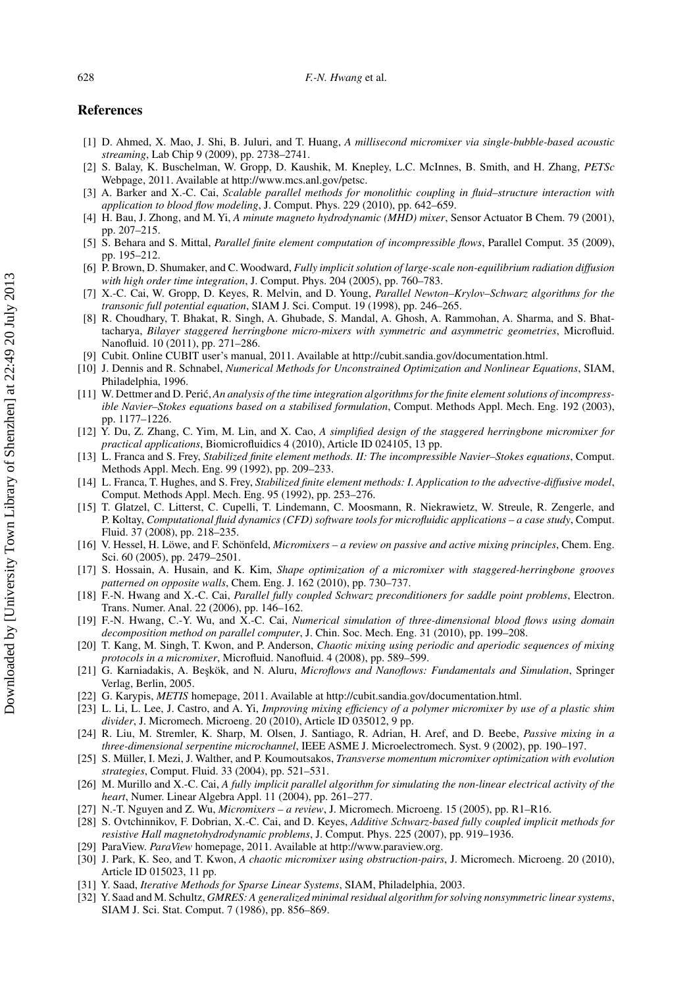### <span id="page-13-0"></span>**References**

- [1] D. Ahmed, X. Mao, J. Shi, B. Juluri, and T. Huang, *A millisecond micromixer via single-bubble-based acoustic streaming*, Lab Chip 9 (2009), pp. 2738–2741.
- [2] S. Balay, K. Buschelman, W. Gropp, D. Kaushik, M. Knepley, L.C. McInnes, B. Smith, and H. Zhang, *PETSc* Webpage, 2011. Available at [http://www.mcs.anl.gov/petsc.](http://www.mcs.anl.gov/petsc)
- [3] A. Barker and X.-C. Cai, *Scalable parallel methods for monolithic coupling in fluid–structure interaction with application to blood flow modeling*, J. Comput. Phys. 229 (2010), pp. 642–659.
- [4] H. Bau, J. Zhong, and M. Yi, *A minute magneto hydrodynamic (MHD) mixer*, Sensor Actuator B Chem. 79 (2001), pp. 207–215.
- [5] S. Behara and S. Mittal, *Parallel finite element computation of incompressible flows*, Parallel Comput. 35 (2009), pp. 195–212.
- [6] P. Brown, D. Shumaker, and C. Woodward, *Fully implicit solution of large-scale non-equilibrium radiation diffusion with high order time integration*, J. Comput. Phys. 204 (2005), pp. 760–783.
- [7] X.-C. Cai, W. Gropp, D. Keyes, R. Melvin, and D. Young, *Parallel Newton–Krylov–Schwarz algorithms for the transonic full potential equation*, SIAM J. Sci. Comput. 19 (1998), pp. 246–265.
- [8] R. Choudhary, T. Bhakat, R. Singh, A. Ghubade, S. Mandal, A. Ghosh, A. Rammohan, A. Sharma, and S. Bhattacharya, *Bilayer staggered herringbone micro-mixers with symmetric and asymmetric geometries*, Microfluid. Nanofluid. 10 (2011), pp. 271–286.
- [9] Cubit. Online CUBIT user's manual, 2011. Available at [http://cubit.sandia.gov/documentation.html.](http://cubit.sandia.gov/documentation.html)
- [10] J. Dennis and R. Schnabel, *Numerical Methods for Unconstrained Optimization and Nonlinear Equations*, SIAM, Philadelphia, 1996.
- [11] W. Dettmer and D. Perić, *An analysis of the time integration algorithms for the finite element solutions of incompressible Navier–Stokes equations based on a stabilised formulation*, Comput. Methods Appl. Mech. Eng. 192 (2003), pp. 1177–1226.
- [12] Y. Du, Z. Zhang, C. Yim, M. Lin, and X. Cao, *A simplified design of the staggered herringbone micromixer for practical applications*, Biomicrofluidics 4 (2010), Article ID 024105, 13 pp.
- [13] L. Franca and S. Frey, *Stabilized finite element methods. II: The incompressible Navier–Stokes equations*, Comput. Methods Appl. Mech. Eng. 99 (1992), pp. 209–233.
- [14] L. Franca, T. Hughes, and S. Frey, *Stabilized finite element methods: I. Application to the advective-diffusive model*, Comput. Methods Appl. Mech. Eng. 95 (1992), pp. 253–276.
- [15] T. Glatzel, C. Litterst, C. Cupelli, T. Lindemann, C. Moosmann, R. Niekrawietz, W. Streule, R. Zengerle, and P. Koltay, *Computational fluid dynamics (CFD) software tools for microfluidic applications – a case study*, Comput. Fluid. 37 (2008), pp. 218–235.
- [16] V. Hessel, H. Löwe, and F. Schönfeld, *Micromixers a review on passive and active mixing principles*, Chem. Eng. Sci. 60 (2005), pp. 2479-2501.
- [17] S. Hossain, A. Husain, and K. Kim, *Shape optimization of a micromixer with staggered-herringbone grooves patterned on opposite walls*, Chem. Eng. J. 162 (2010), pp. 730–737.
- [18] F.-N. Hwang and X.-C. Cai, *Parallel fully coupled Schwarz preconditioners for saddle point problems*, Electron. Trans. Numer. Anal. 22 (2006), pp. 146–162.
- [19] F.-N. Hwang, C.-Y. Wu, and X.-C. Cai, *Numerical simulation of three-dimensional blood flows using domain decomposition method on parallel computer*, J. Chin. Soc. Mech. Eng. 31 (2010), pp. 199–208.
- [20] T. Kang, M. Singh, T. Kwon, and P. Anderson, *Chaotic mixing using periodic and aperiodic sequences of mixing protocols in a micromixer*, Microfluid. Nanofluid. 4 (2008), pp. 589–599.
- [21] G. Karniadakis, A. Beşkök, and N. Aluru, *Microflows and Nanoflows: Fundamentals and Simulation*, Springer Verlag, Berlin, 2005.
- [22] G. Karypis, *METIS* homepage, 2011. Available at [http://cubit.sandia.gov/documentation.html.](http://cubit.sandia.gov/documentation.html)
- [23] L. Li, L. Lee, J. Castro, and A. Yi, *Improving mixing efficiency of a polymer micromixer by use of a plastic shim divider*, J. Micromech. Microeng. 20 (2010), Article ID 035012, 9 pp.
- [24] R. Liu, M. Stremler, K. Sharp, M. Olsen, J. Santiago, R. Adrian, H. Aref, and D. Beebe, *Passive mixing in a three-dimensional serpentine microchannel*, IEEE ASME J. Microelectromech. Syst. 9 (2002), pp. 190–197.
- [25] S. Müller, I. Mezi, J. Walther, and P. Koumoutsakos, *Transverse momentum micromixer optimization with evolution strategies*, Comput. Fluid. 33 (2004), pp. 521–531.
- [26] M. Murillo and X.-C. Cai, *A fully implicit parallel algorithm for simulating the non-linear electrical activity of the heart*, Numer. Linear Algebra Appl. 11 (2004), pp. 261–277.
- [27] N.-T. Nguyen and Z. Wu, *Micromixers a review*, J. Micromech. Microeng. 15 (2005), pp. R1–R16.
- [28] S. Ovtchinnikov, F. Dobrian, X.-C. Cai, and D. Keyes, *Additive Schwarz-based fully coupled implicit methods for resistive Hall magnetohydrodynamic problems*, J. Comput. Phys. 225 (2007), pp. 919–1936.
- [29] ParaView. *ParaView* homepage, 2011. Available at [http://www.paraview.org.](http://www.paraview.org)
- [30] J. Park, K. Seo, and T. Kwon, *A chaotic micromixer using obstruction-pairs*, J. Micromech. Microeng. 20 (2010), Article ID 015023, 11 pp.
- [31] Y. Saad, *Iterative Methods for Sparse Linear Systems*, SIAM, Philadelphia, 2003.
- [32] Y. Saad and M. Schultz, *GMRES: A generalized minimal residual algorithm for solving nonsymmetric linear systems*, SIAM J. Sci. Stat. Comput. 7 (1986), pp. 856–869.